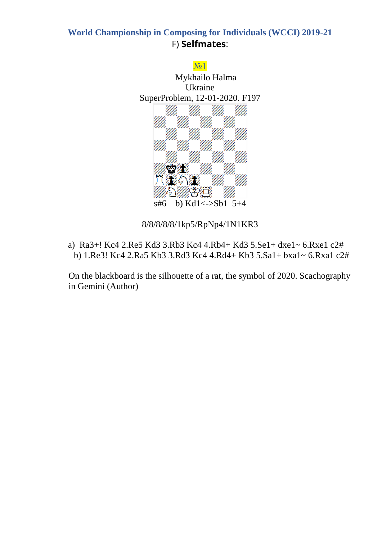

8/8/8/8/8/1kp5/RpNp4/1N1KR3

a) Ra3+! Kc4 2.Re5 Kd3 3.Rb3 Kc4 4.Rb4+ Kd3 5.Se1+ dxe1~ 6.Rxe1 c2# b) 1.Re3! Kc4 2.Ra5 Kb3 3.Rd3 Kc4 4.Rd4+ Kb3 5.Sa1+ bxa1~ 6.Rxa1 c2#

On the blackboard is the silhouette of a rat, the symbol of 2020. Scachography in Gemini (Author)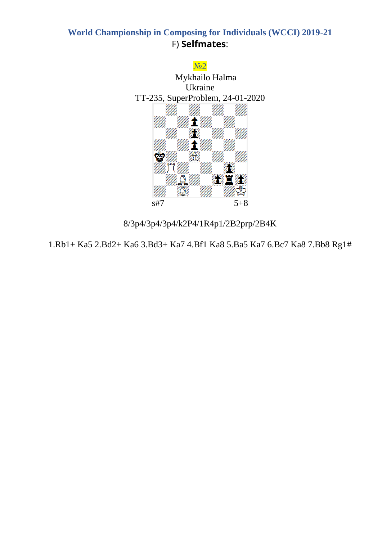

8/3p4/3p4/3p4/k2P4/1R4p1/2B2prp/2B4K

1.Rb1+ Ka5 2.Bd2+ Ka6 3.Bd3+ Ka7 4.Bf1 Ka8 5.Ba5 Ka7 6.Bc7 Ka8 7.Bb8 Rg1#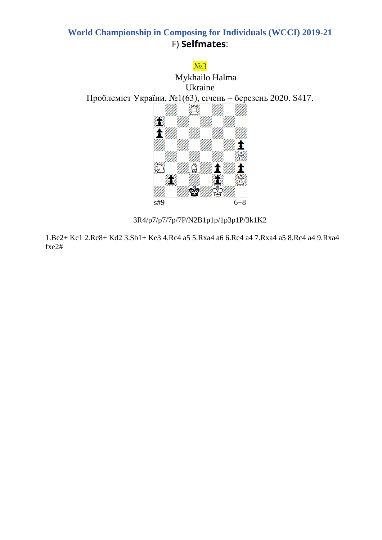

3R4/p7/p7/7p/7P/N2B1p1p/1p3p1P/3k1K2

1.Be2+ Kc1 2.Rc8+ Kd2 3.Sb1+ Ke3 4.Rc4 a5 5.Rxa4 a6 6.Rc4 a4 7.Rxa4 a5 8.Rc4 a4 9.Rxa4 fxe2#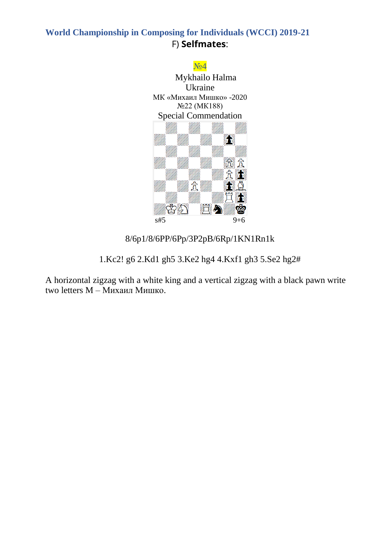

8/6p1/8/6PP/6Pp/3P2pB/6Rp/1KN1Rn1k

1.Kc2! g6 2.Kd1 gh5 3.Ke2 hg4 4.Kxf1 gh3 5.Se2 hg2#

A horizontal zigzag with a white king and a vertical zigzag with a black pawn write two letters M – Михаил Мишко.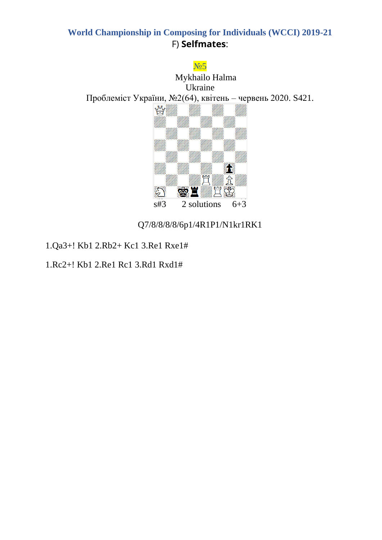

Q7/8/8/8/8/6p1/4R1P1/N1kr1RK1

1.Qa3+! Kb1 2.Rb2+ Kc1 3.Re1 Rxe1#

1.Rc2+! Kb1 2.Re1 Rc1 3.Rd1 Rxd1#